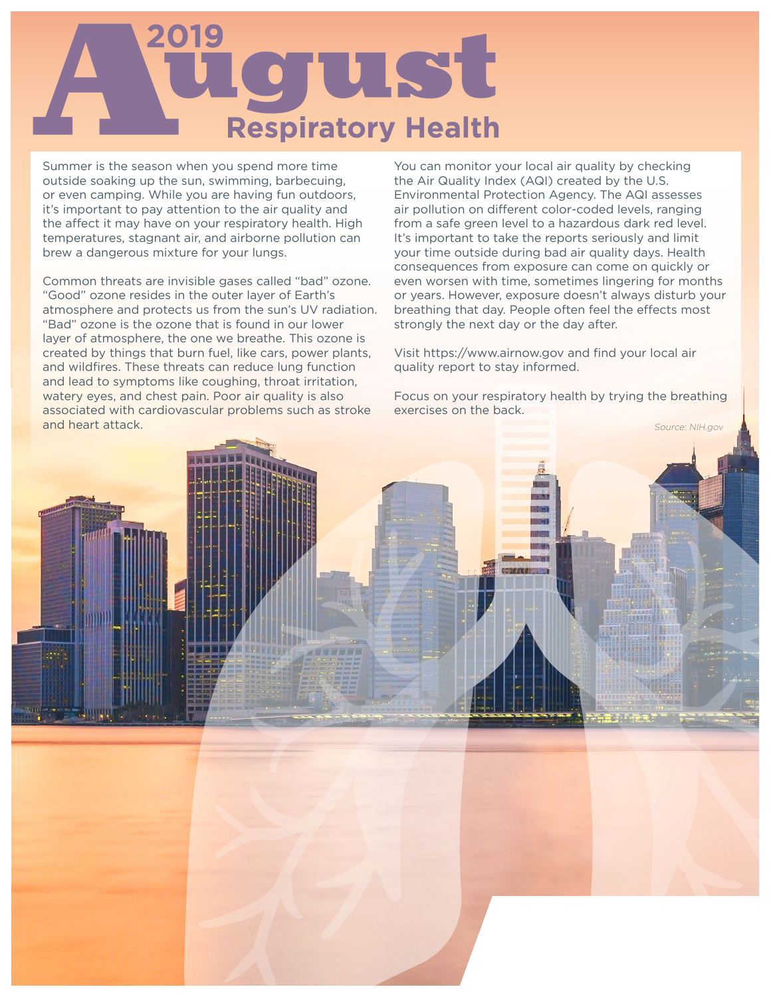

Summer is the season when you spend more time outside soaking up the sun, swimming, barbecuing, or even camping. While you are having fun outdoors, it's important to pay attention to the air quality and the affect it may have on your respiratory health. High temperatures, stagnant air, and airborne pollution can brew a dangerous mixture for your lungs.

Common threats are invisible gases called "bad" ozone. "Good" ozone resides in the outer layer of Earth's atmosphere and protects us from the sun's UV radiation. "Bad" ozone is the ozone that is found in our lower layer of atmosphere, the one we breathe. This ozone is created by things that burn fuel, like cars, power plants, and wildfires. These threats can reduce lung function and lead to symptoms like coughing, throat irritation, watery eyes, and chest pain. Poor air quality is also associated with cardiovascular problems such as stroke and heart attack.

You can monitor your local air quality by checking the Air Quality Index (AQI) created by the U.S. Environmental Protection Agency. The AQI assesses air pollution on different color-coded levels, ranging from a safe green level to a hazardous dark red level. It's important to take the reports seriously and limit your time outside during bad air quality days. Health consequences from exposure can come on quickly or even worsen with time, sometimes lingering for months or years. However, exposure doesn't always disturb your breathing that day. People often feel the effects most strongly the next day or the day after.

Visit https://www.airnow.gov and find your local air quality report to stay informed.

Focus on your respiratory health by trying the breathing exercises on the back.